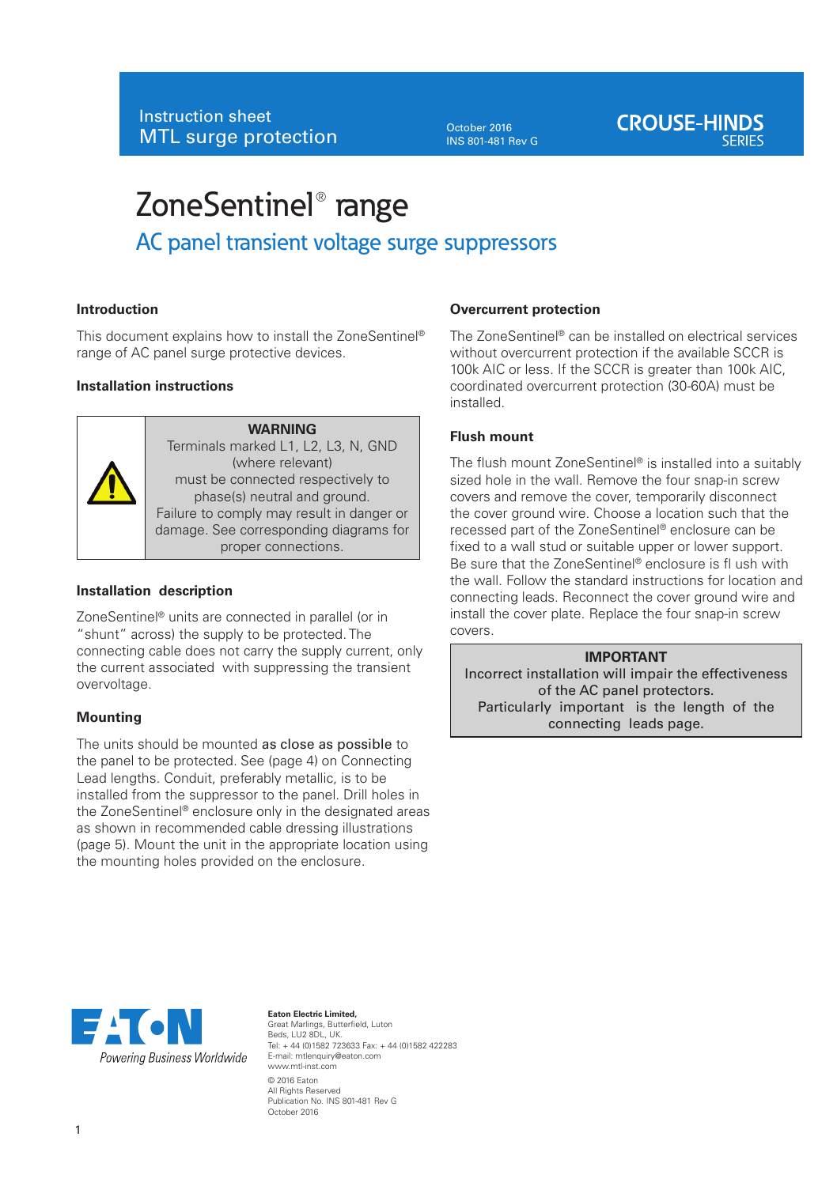October 2016 INS 801-481 Rev G

# **CROUSE-HINDS**

# ZoneSentinel® range AC panel transient voltage surge suppressors

## **Introduction**

This document explains how to install the ZoneSentinel® range of AC panel surge protective devices.

#### **Installation instructions**



#### **WARNING**

Terminals marked L1, L2, L3, N, GND (where relevant) must be connected respectively to phase(s) neutral and ground. Failure to comply may result in danger or damage. See corresponding diagrams for proper connections.

### **Installation description**

ZoneSentinel® units are connected in parallel (or in "shunt" across) the supply to be protected. The connecting cable does not carry the supply current, only the current associated with suppressing the transient overvoltage.

## **Mounting**

The units should be mounted as close as possible to the panel to be protected. See (page 4) on Connecting Lead lengths. Conduit, preferably metallic, is to be installed from the suppressor to the panel. Drill holes in the ZoneSentinel® enclosure only in the designated areas as shown in recommended cable dressing illustrations (page 5). Mount the unit in the appropriate location using the mounting holes provided on the enclosure.

## **Overcurrent protection**

The ZoneSentinel® can be installed on electrical services without overcurrent protection if the available SCCR is 100k AIC or less. If the SCCR is greater than 100k AIC, coordinated overcurrent protection (30-60A) must be installed.

## **Flush mount**

The flush mount ZoneSentinel® is installed into a suitably sized hole in the wall. Remove the four snap-in screw covers and remove the cover, temporarily disconnect the cover ground wire. Choose a location such that the recessed part of the ZoneSentinel® enclosure can be fixed to a wall stud or suitable upper or lower support. Be sure that the ZoneSentinel® enclosure is fl ush with the wall. Follow the standard instructions for location and connecting leads. Reconnect the cover ground wire and install the cover plate. Replace the four snap-in screw covers.

## **IMPORTANT**

Incorrect installation will impair the effectiveness of the AC panel protectors. Particularly important is the length of the connecting leads page.



#### **Eaton Electric Limited,**

Great Marlings, Butterfield, Luton Beds, LU2 8DL, UK. Tel: + 44 (0)1582 723633 Fax: + 44 (0)1582 422283 E-mail: mtlenquiry@eaton.com www.mtl-inst.com © 2016 Eaton All Rights Reserved Publication No. INS 801-481 Rev G October 2016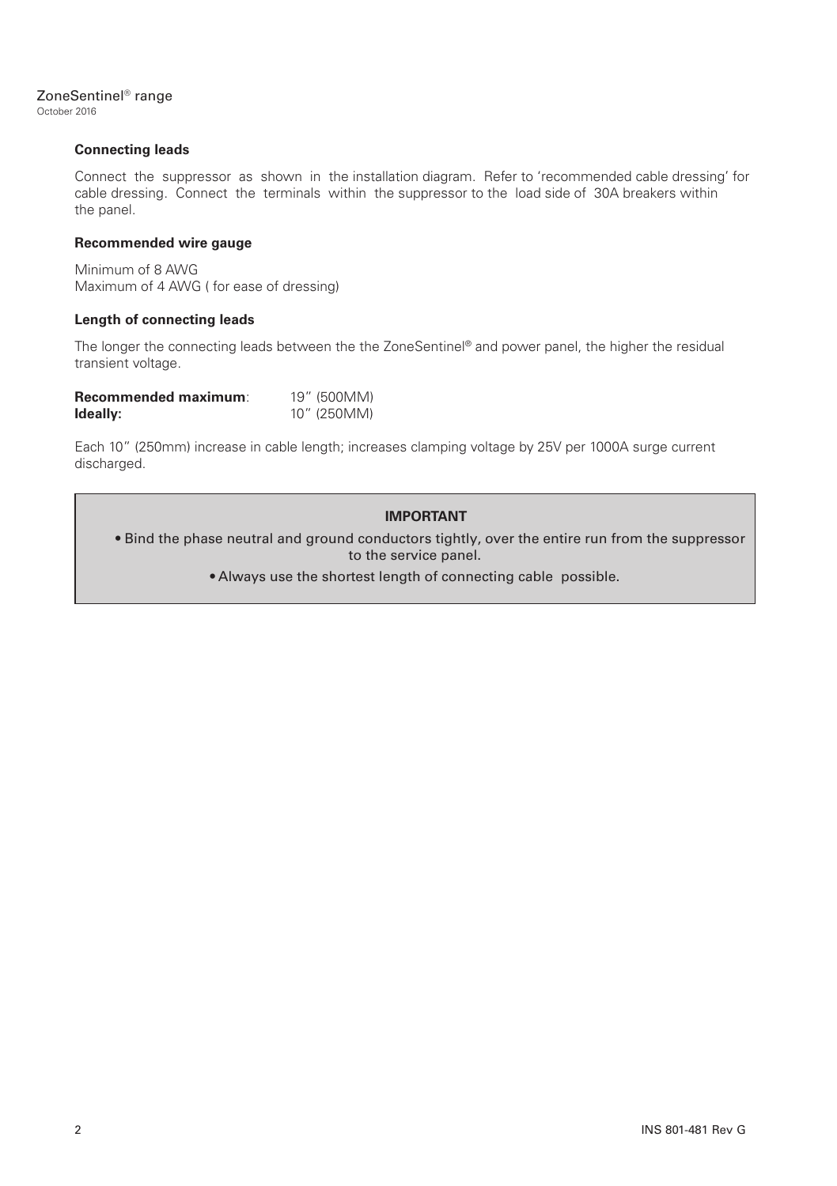## **Connecting leads**

Connect the suppressor as shown in the installation diagram. Refer to 'recommended cable dressing' for cable dressing. Connect the terminals within the suppressor to the load side of 30A breakers within the panel.

## **Recommended wire gauge**

Minimum of 8 AWG Maximum of 4 AWG ( for ease of dressing)

## **Length of connecting leads**

The longer the connecting leads between the the ZoneSentinel® and power panel, the higher the residual transient voltage.

| Recommended maximum: | 19" (500MM) |
|----------------------|-------------|
| Ideally:             | 10" (250MM) |

Each 10" (250mm) increase in cable length; increases clamping voltage by 25V per 1000A surge current discharged.

# **IMPORTANT**

 • Bind the phase neutral and ground conductors tightly, over the entire run from the suppressor to the service panel.

• Always use the shortest length of connecting cable possible.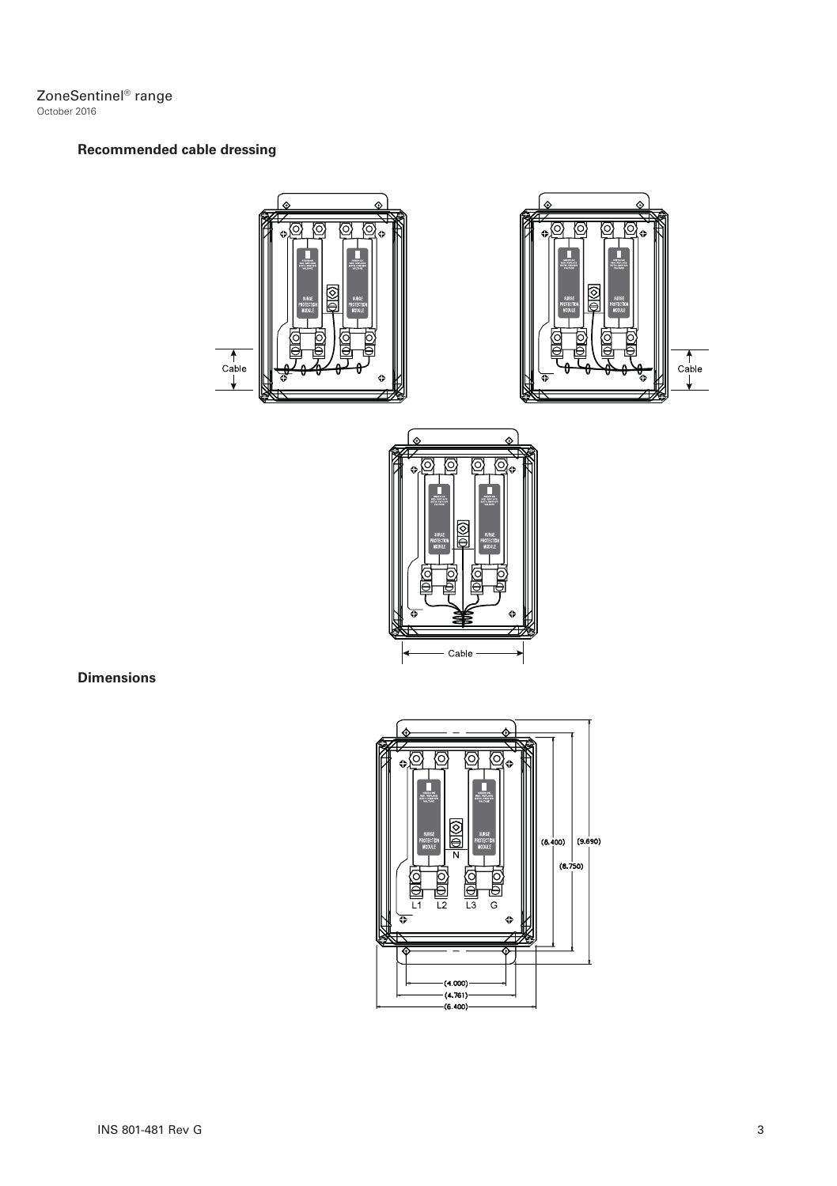# **Recommended cable dressing**



**Dimensions**

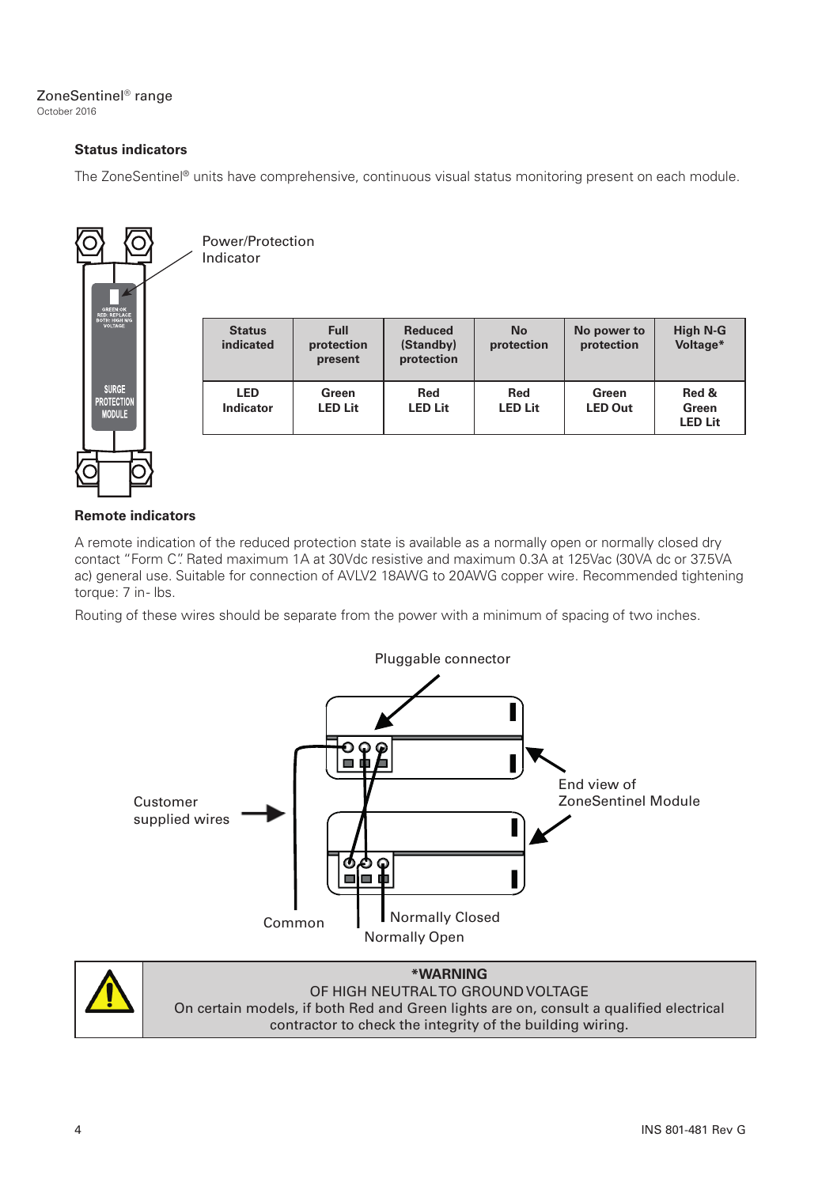**Status indicators**

The ZoneSentinel® units have comprehensive, continuous visual status monitoring present on each module.

| GREEN:OK<br>RED: REPLACE<br>BOTH: HIGH NIG<br>VOLTAGE |
|-------------------------------------------------------|
| <b>SURGE</b><br><b>PROTECTION</b><br><b>MODULE</b>    |
|                                                       |

Power/Protection Indicator

| <b>Status</b><br>indicated | Full<br>protection<br>present | Reduced<br>(Standby)<br>protection | <b>No</b><br>protection | No power to<br>protection | High N-G<br>Voltage*             |
|----------------------------|-------------------------------|------------------------------------|-------------------------|---------------------------|----------------------------------|
| <b>LED</b><br>Indicator    | Green<br><b>LED Lit</b>       | Red<br><b>LED Lit</b>              | Red<br><b>LED Lit</b>   | Green<br><b>LED Out</b>   | Red &<br>Green<br><b>LED Lit</b> |

# **Remote indicators**

A remote indication of the reduced protection state is available as a normally open or normally closed dry contact "Form C". Rated maximum 1A at 30Vdc resistive and maximum 0.3A at 125Vac (30VA dc or 37.5VA ac) general use. Suitable for connection of AVLV2 18AWG to 20AWG copper wire. Recommended tightening torque: 7 in - lbs.

Routing of these wires should be separate from the power with a minimum of spacing of two inches.





**\*WARNING** OF HIGH NEUTRAL TO GROUND VOLTAGE On certain models, if both Red and Green lights are on, consult a qualified electrical contractor to check the integrity of the building wiring.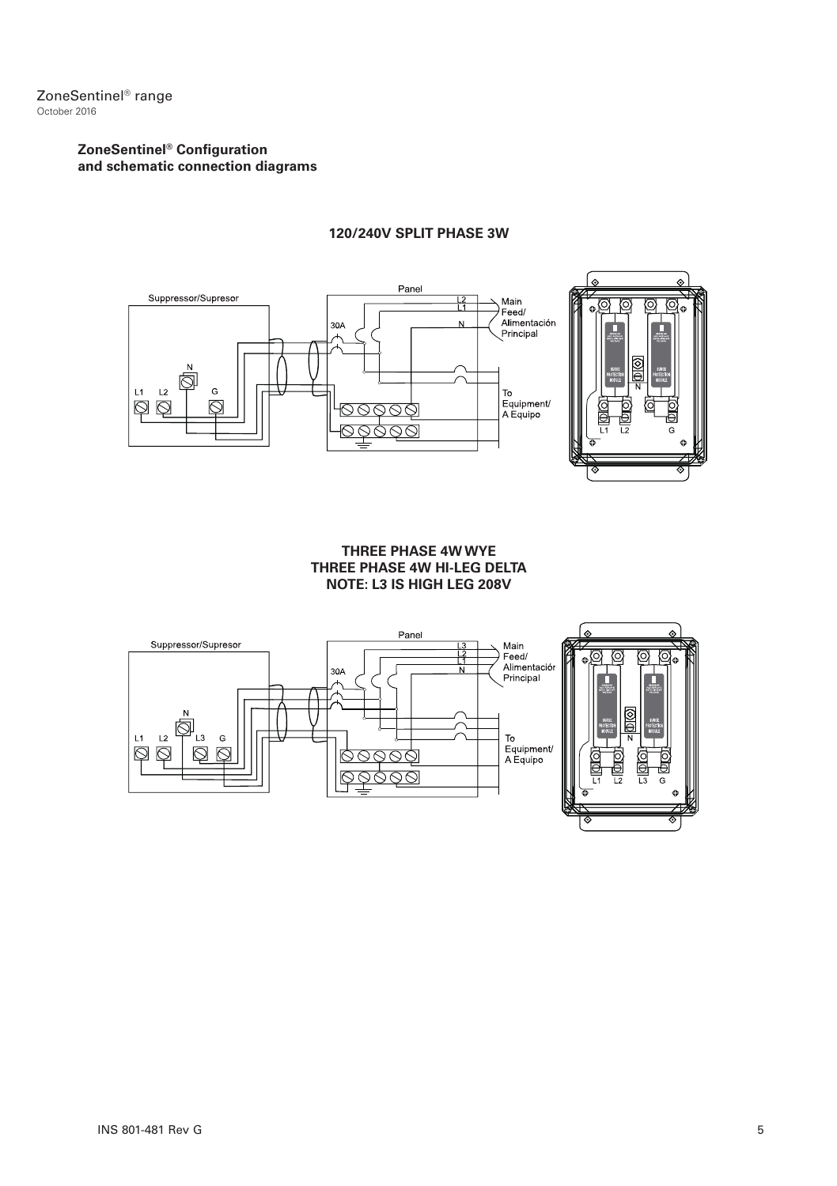# **ZoneSentinel® Configuration and schematic connection diagrams**



# **120/240V SPLIT PHASE 3W**

**THREE PHASE 4W WYE THREE PHASE 4W HI-LEG DELTA NOTE: L3 IS HIGH LEG 208V**

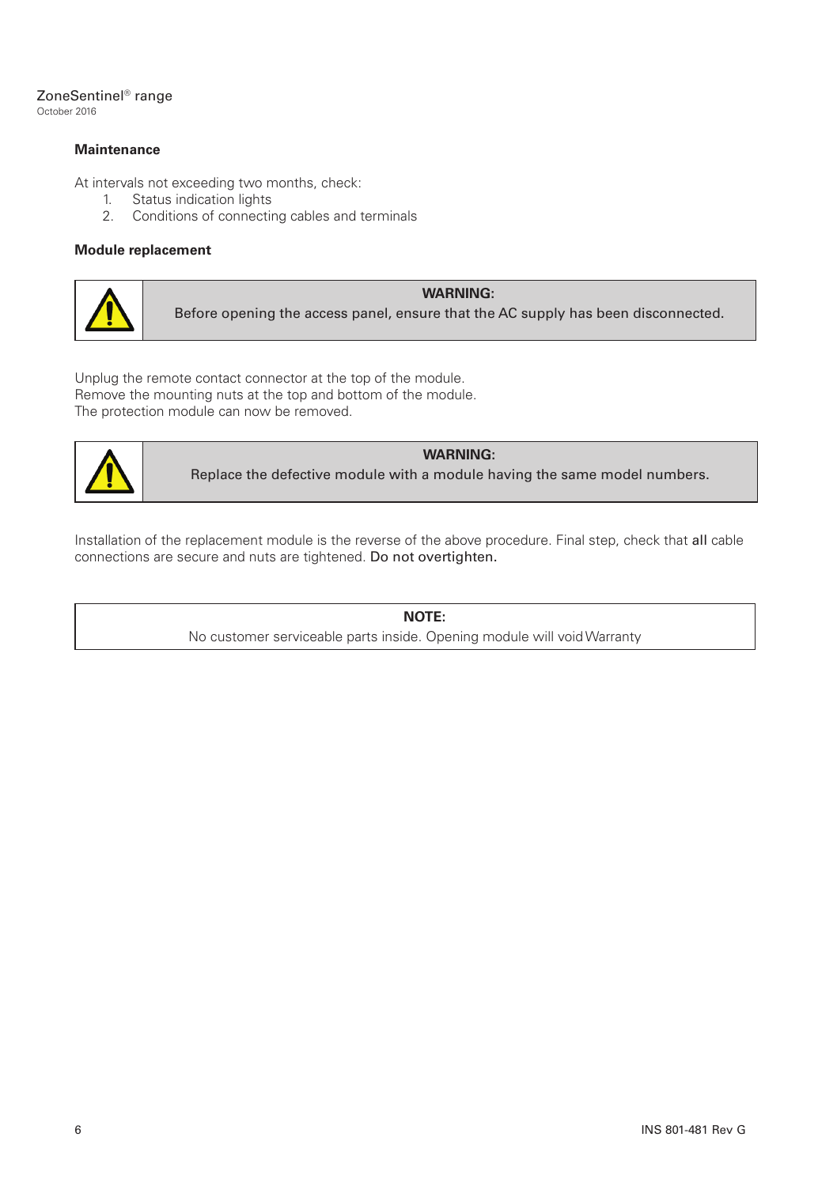# ZoneSentinel® range

October 2016

## **Maintenance**

At intervals not exceeding two months, check:

- 1. Status indication lights
- 2. Conditions of connecting cables and terminals

#### **Module replacement**



## **WARNING:**

Before opening the access panel, ensure that the AC supply has been disconnected.

Unplug the remote contact connector at the top of the module. Remove the mounting nuts at the top and bottom of the module. The protection module can now be removed.



**WARNING:** 

Replace the defective module with a module having the same model numbers.

Installation of the replacement module is the reverse of the above procedure. Final step, check that all cable connections are secure and nuts are tightened. Do not overtighten.

> **NOTE:** No customer serviceable parts inside. Opening module will void Warranty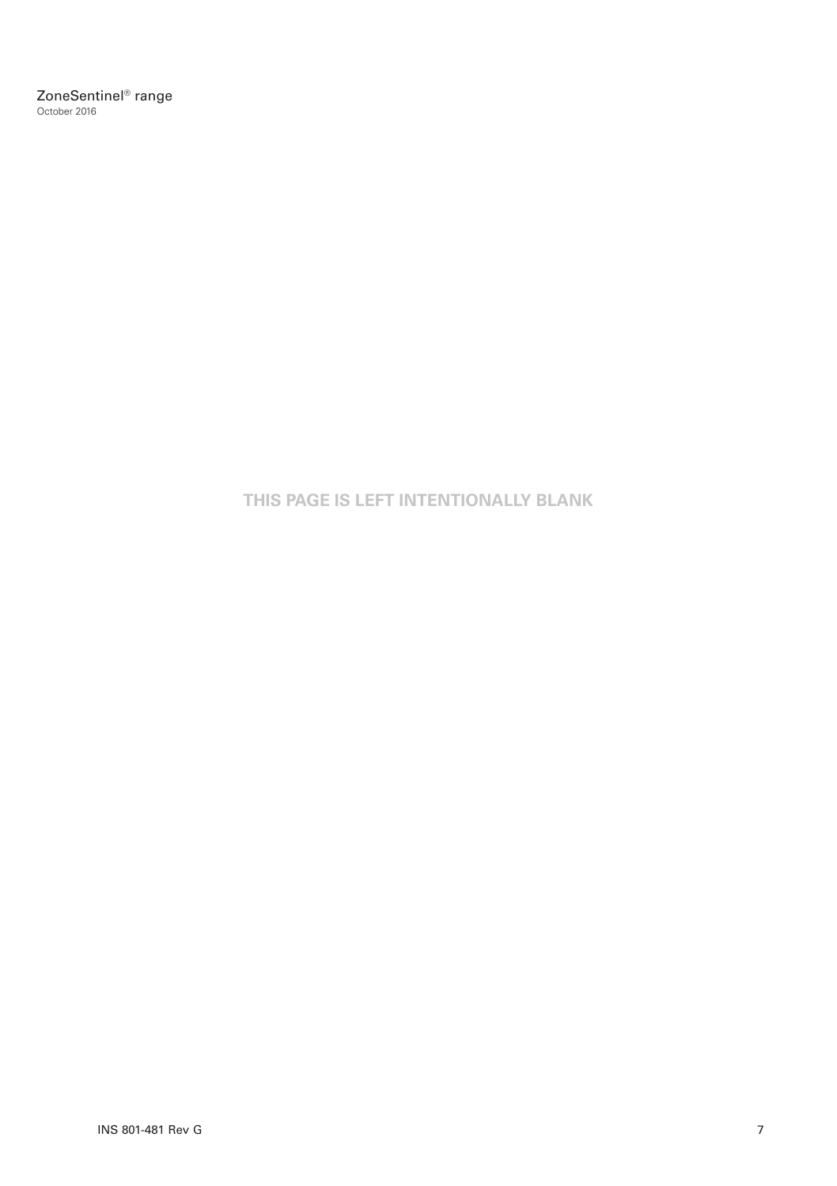**THIS PAGE IS LEFT INTENTIONALLY BLANK**